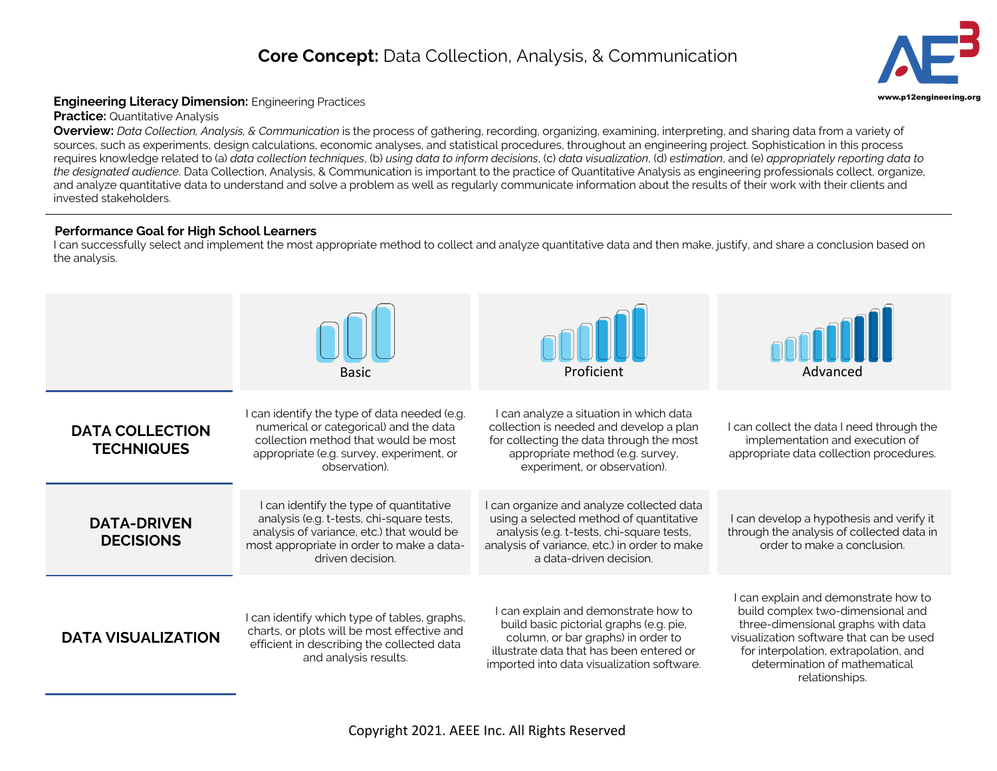## **Core Concept:** Data Collection, Analysis, & Communication



## **Engineering Literacy Dimension:** Engineering Practices **Engineering.org and Secure 2016** and the state of the state of the state of the state of the state of the state of the state of the state of the state of the state o

**Practice: Quantitative Analysis** 

**Overview:** *Data Collection, Analysis, & Communication* is the process of gathering, recording, organizing, examining, interpreting, and sharing data from a variety of sources, such as experiments, design calculations, economic analyses, and statistical procedures, throughout an engineering project. Sophistication in this process requires knowledge related to (a) *data collection techniques*, (b) *using data to inform decisions*, (c) *data visualization*, (d) *estimation*, and (e) *appropriately reporting data to the designated audience*. Data Collection, Analysis, & Communication is important to the practice of Quantitative Analysis as engineering professionals collect, organize, and analyze quantitative data to understand and solve a problem as well as regularly communicate information about the results of their work with their clients and invested stakeholders.

## **Performance Goal for High School Learners**

I can successfully select and implement the most appropriate method to collect and analyze quantitative data and then make, justify, and share a conclusion based on the analysis.